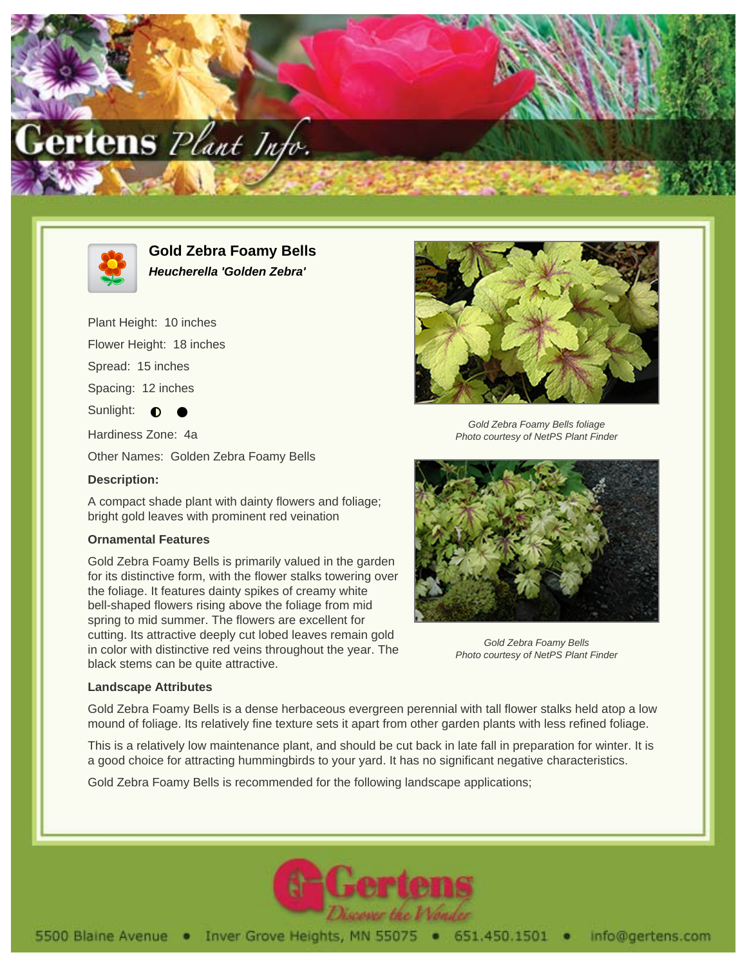



**Gold Zebra Foamy Bells Heucherella 'Golden Zebra'**

Plant Height: 10 inches Flower Height: 18 inches Spread: 15 inches Spacing: 12 inches Sunlight:  $\bullet$ Hardiness Zone: 4a

Other Names: Golden Zebra Foamy Bells

## **Description:**

A compact shade plant with dainty flowers and foliage; bright gold leaves with prominent red veination

## **Ornamental Features**

Gold Zebra Foamy Bells is primarily valued in the garden for its distinctive form, with the flower stalks towering over the foliage. It features dainty spikes of creamy white bell-shaped flowers rising above the foliage from mid spring to mid summer. The flowers are excellent for cutting. Its attractive deeply cut lobed leaves remain gold in color with distinctive red veins throughout the year. The black stems can be quite attractive.



Gold Zebra Foamy Bells foliage Photo courtesy of NetPS Plant Finder



Gold Zebra Foamy Bells Photo courtesy of NetPS Plant Finder

## **Landscape Attributes**

Gold Zebra Foamy Bells is a dense herbaceous evergreen perennial with tall flower stalks held atop a low mound of foliage. Its relatively fine texture sets it apart from other garden plants with less refined foliage.

This is a relatively low maintenance plant, and should be cut back in late fall in preparation for winter. It is a good choice for attracting hummingbirds to your yard. It has no significant negative characteristics.

Gold Zebra Foamy Bells is recommended for the following landscape applications;